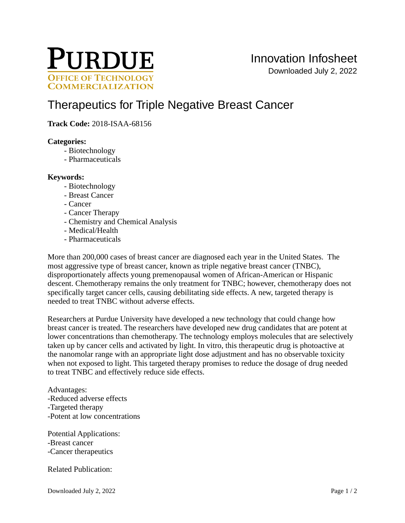

# [Therapeutics for Triple Negative Breast Cancer](https://inventions.prf.org/innovation/6752)

**Track Code:** 2018-ISAA-68156

#### **Categories:**

- Biotechnology
- Pharmaceuticals

#### **Keywords:**

- Biotechnology
- Breast Cancer
- Cancer
- Cancer Therapy
- Chemistry and Chemical Analysis
- Medical/Health
- Pharmaceuticals

More than 200,000 cases of breast cancer are diagnosed each year in the United States. The most aggressive type of breast cancer, known as triple negative breast cancer (TNBC), disproportionately affects young premenopausal women of African-American or Hispanic descent. Chemotherapy remains the only treatment for TNBC; however, chemotherapy does not specifically target cancer cells, causing debilitating side effects. A new, targeted therapy is needed to treat TNBC without adverse effects.

Researchers at Purdue University have developed a new technology that could change how breast cancer is treated. The researchers have developed new drug candidates that are potent at lower concentrations than chemotherapy. The technology employs molecules that are selectively taken up by cancer cells and activated by light. In vitro, this therapeutic drug is photoactive at the nanomolar range with an appropriate light dose adjustment and has no observable toxicity when not exposed to light. This targeted therapy promises to reduce the dosage of drug needed to treat TNBC and effectively reduce side effects.

Advantages: -Reduced adverse effects -Targeted therapy -Potent at low concentrations

Potential Applications: -Breast cancer -Cancer therapeutics

Related Publication: